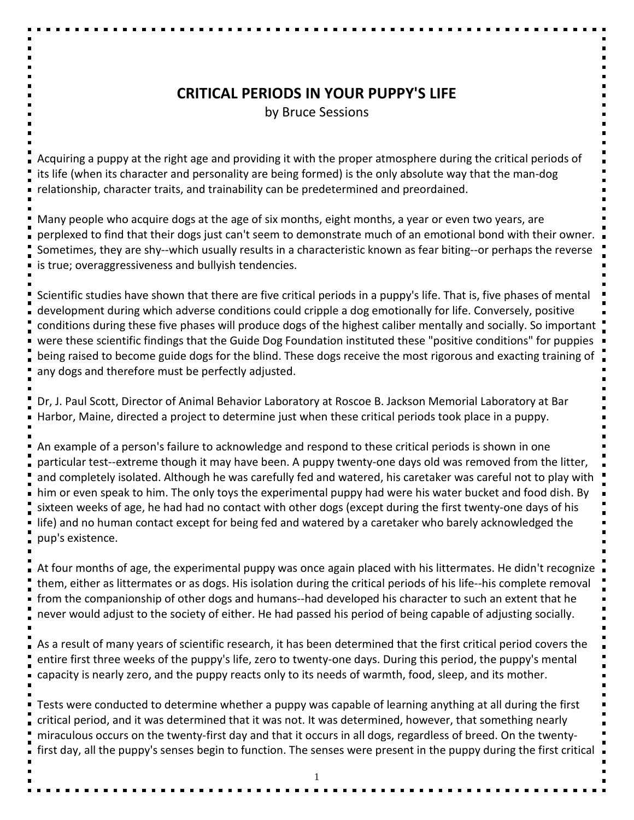## **CRITICAL PERIODS IN YOUR PUPPY'S LIFE**

by Bruce Sessions

Acquiring a puppy at the right age and providing it with the proper atmosphere during the critical periods of its life (when its character and personality are being formed) is the only absolute way that the man-dog relationship, character traits, and trainability can be predetermined and preordained.

Many people who acquire dogs at the age of six months, eight months, a year or even two years, are perplexed to find that their dogs just can't seem to demonstrate much of an emotional bond with their owner. Sometimes, they are shy--which usually results in a characteristic known as fear biting--or perhaps the reverse is true; overaggressiveness and bullyish tendencies.

Scientific studies have shown that there are five critical periods in a puppy's life. That is, five phases of mental development during which adverse conditions could cripple a dog emotionally for life. Conversely, positive conditions during these five phases will produce dogs of the highest caliber mentally and socially. So important were these scientific findings that the Guide Dog Foundation instituted these "positive conditions" for puppies being raised to become guide dogs for the blind. These dogs receive the most rigorous and exacting training of any dogs and therefore must be perfectly adjusted.

Dr, J. Paul Scott, Director of Animal Behavior Laboratory at Roscoe B. Jackson Memorial Laboratory at Bar Harbor, Maine, directed a project to determine just when these critical periods took place in a puppy.

An example of a person's failure to acknowledge and respond to these critical periods is shown in one particular test--extreme though it may have been. A puppy twenty-one days old was removed from the litter, and completely isolated. Although he was carefully fed and watered, his caretaker was careful not to play with him or even speak to him. The only toys the experimental puppy had were his water bucket and food dish. By sixteen weeks of age, he had had no contact with other dogs (except during the first twenty-one days of his life) and no human contact except for being fed and watered by a caretaker who barely acknowledged the pup's existence.

At four months of age, the experimental puppy was once again placed with his littermates. He didn't recognize them, either as littermates or as dogs. His isolation during the critical periods of his life--his complete removal from the companionship of other dogs and humans--had developed his character to such an extent that he never would adjust to the society of either. He had passed his period of being capable of adjusting socially.

As a result of many years of scientific research, it has been determined that the first critical period covers the entire first three weeks of the puppy's life, zero to twenty-one days. During this period, the puppy's mental capacity is nearly zero, and the puppy reacts only to its needs of warmth, food, sleep, and its mother.

Tests were conducted to determine whether a puppy was capable of learning anything at all during the first critical period, and it was determined that it was not. It was determined, however, that something nearly miraculous occurs on the twenty-first day and that it occurs in all dogs, regardless of breed. On the twentyfirst day, all the puppy's senses begin to function. The senses were present in the puppy during the first critical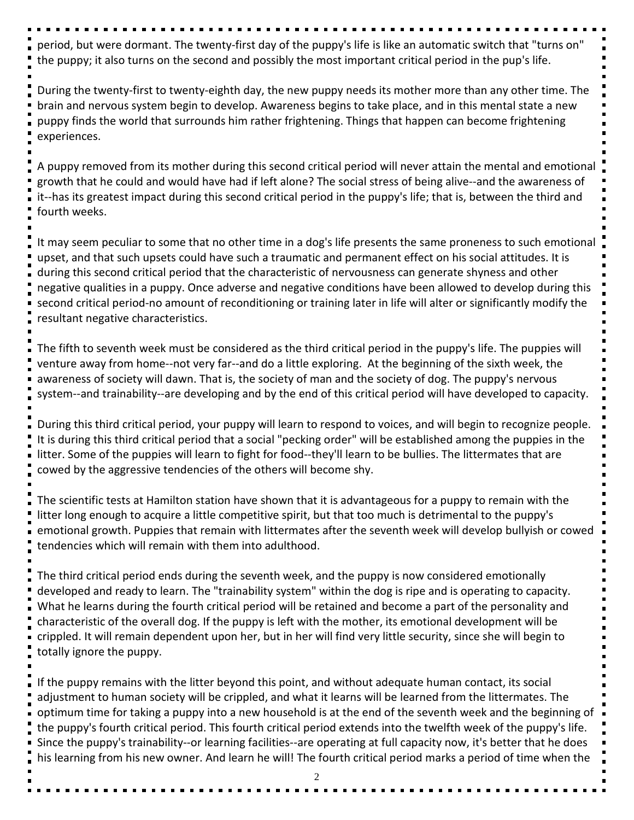period, but were dormant. The twenty-first day of the puppy's life is like an automatic switch that "turns on" the puppy; it also turns on the second and possibly the most important critical period in the pup's life.

During the twenty-first to twenty-eighth day, the new puppy needs its mother more than any other time. The brain and nervous system begin to develop. Awareness begins to take place, and in this mental state a new puppy finds the world that surrounds him rather frightening. Things that happen can become frightening experiences.

A puppy removed from its mother during this second critical period will never attain the mental and emotional growth that he could and would have had if left alone? The social stress of being alive--and the awareness of it--has its greatest impact during this second critical period in the puppy's life; that is, between the third and fourth weeks.

It may seem peculiar to some that no other time in a dog's life presents the same proneness to such emotional upset, and that such upsets could have such a traumatic and permanent effect on his social attitudes. It is during this second critical period that the characteristic of nervousness can generate shyness and other negative qualities in a puppy. Once adverse and negative conditions have been allowed to develop during this second critical period-no amount of reconditioning or training later in life will alter or significantly modify the resultant negative characteristics.

The fifth to seventh week must be considered as the third critical period in the puppy's life. The puppies will venture away from home--not very far--and do a little exploring. At the beginning of the sixth week, the awareness of society will dawn. That is, the society of man and the society of dog. The puppy's nervous system--and trainability--are developing and by the end of this critical period will have developed to capacity.

During this third critical period, your puppy will learn to respond to voices, and will begin to recognize people. It is during this third critical period that a social "pecking order" will be established among the puppies in the litter. Some of the puppies will learn to fight for food--they'll learn to be bullies. The littermates that are cowed by the aggressive tendencies of the others will become shy.

The scientific tests at Hamilton station have shown that it is advantageous for a puppy to remain with the litter long enough to acquire a little competitive spirit, but that too much is detrimental to the puppy's emotional growth. Puppies that remain with littermates after the seventh week will develop bullyish or cowed tendencies which will remain with them into adulthood.

The third critical period ends during the seventh week, and the puppy is now considered emotionally developed and ready to learn. The "trainability system" within the dog is ripe and is operating to capacity. What he learns during the fourth critical period will be retained and become a part of the personality and characteristic of the overall dog. If the puppy is left with the mother, its emotional development will be crippled. It will remain dependent upon her, but in her will find very little security, since she will begin to totally ignore the puppy.

If the puppy remains with the litter beyond this point, and without adequate human contact, its social adjustment to human society will be crippled, and what it learns will be learned from the littermates. The optimum time for taking a puppy into a new household is at the end of the seventh week and the beginning of the puppy's fourth critical period. This fourth critical period extends into the twelfth week of the puppy's life. Since the puppy's trainability--or learning facilities--are operating at full capacity now, it's better that he does his learning from his new owner. And learn he will! The fourth critical period marks a period of time when the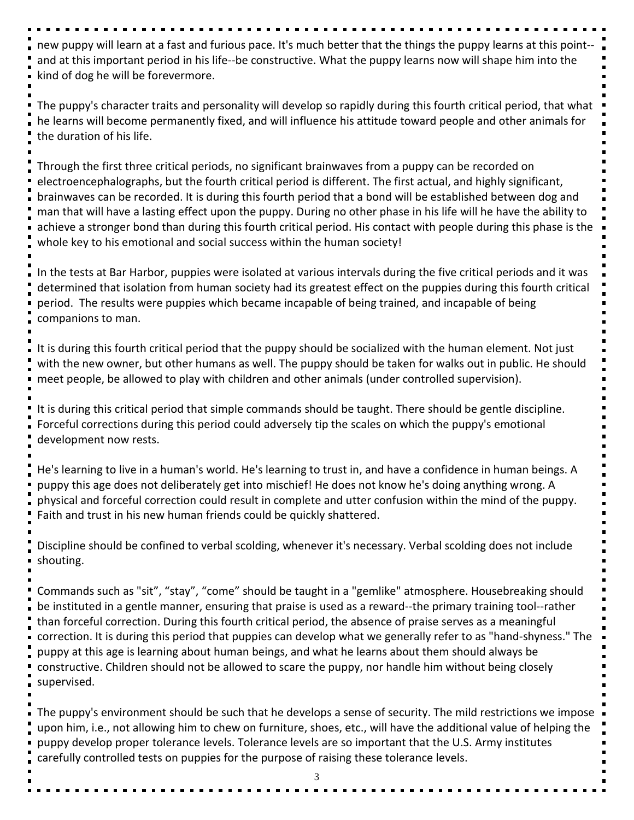new puppy will learn at a fast and furious pace. It's much better that the things the puppy learns at this point- and at this important period in his life--be constructive. What the puppy learns now will shape him into the kind of dog he will be forevermore.

The puppy's character traits and personality will develop so rapidly during this fourth critical period, that what he learns will become permanently fixed, and will influence his attitude toward people and other animals for the duration of his life.

Through the first three critical periods, no significant brainwaves from a puppy can be recorded on electroencephalographs, but the fourth critical period is different. The first actual, and highly significant, brainwaves can be recorded. It is during this fourth period that a bond will be established between dog and man that will have a lasting effect upon the puppy. During no other phase in his life will he have the ability to achieve a stronger bond than during this fourth critical period. His contact with people during this phase is the whole key to his emotional and social success within the human society!

In the tests at Bar Harbor, puppies were isolated at various intervals during the five critical periods and it was determined that isolation from human society had its greatest effect on the puppies during this fourth critical period. The results were puppies which became incapable of being trained, and incapable of being companions to man.

It is during this fourth critical period that the puppy should be socialized with the human element. Not just with the new owner, but other humans as well. The puppy should be taken for walks out in public. He should meet people, be allowed to play with children and other animals (under controlled supervision).

It is during this critical period that simple commands should be taught. There should be gentle discipline. Forceful corrections during this period could adversely tip the scales on which the puppy's emotional development now rests.

He's learning to live in a human's world. He's learning to trust in, and have a confidence in human beings. A puppy this age does not deliberately get into mischief! He does not know he's doing anything wrong. A physical and forceful correction could result in complete and utter confusion within the mind of the puppy. Faith and trust in his new human friends could be quickly shattered.

Discipline should be confined to verbal scolding, whenever it's necessary. Verbal scolding does not include shouting.

Commands such as "sit", "stay", "come" should be taught in a "gemlike" atmosphere. Housebreaking should be instituted in a gentle manner, ensuring that praise is used as a reward--the primary training tool--rather than forceful correction. During this fourth critical period, the absence of praise serves as a meaningful correction. It is during this period that puppies can develop what we generally refer to as "hand-shyness." The puppy at this age is learning about human beings, and what he learns about them should always be constructive. Children should not be allowed to scare the puppy, nor handle him without being closely supervised.

The puppy's environment should be such that he develops a sense of security. The mild restrictions we impose upon him, i.e., not allowing him to chew on furniture, shoes, etc., will have the additional value of helping the puppy develop proper tolerance levels. Tolerance levels are so important that the U.S. Army institutes carefully controlled tests on puppies for the purpose of raising these tolerance levels.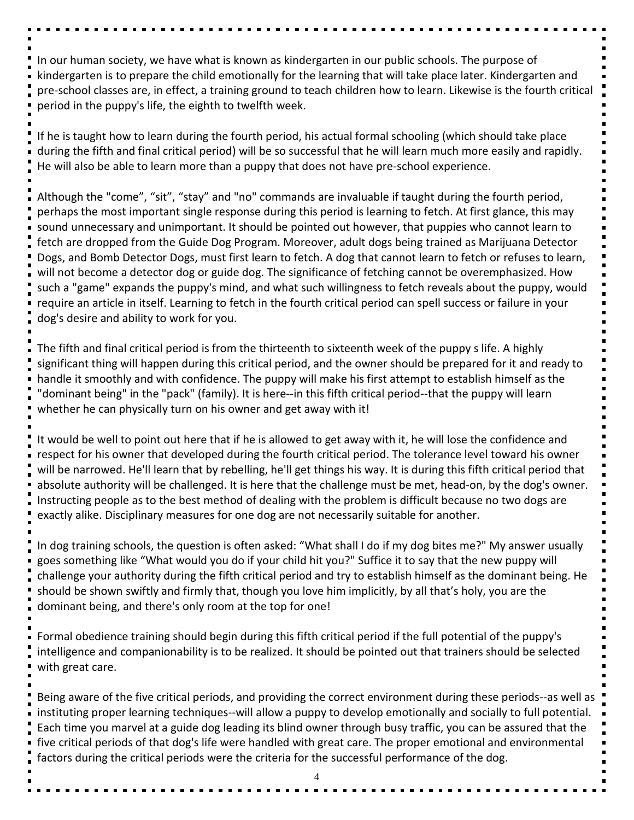In our human society, we have what is known as kindergarten in our public schools. The purpose of kindergarten is to prepare the child emotionally for the learning that will take place later. Kindergarten and pre-school classes are, in effect, a training ground to teach children how to learn. Likewise is the fourth critical period in the puppy's life, the eighth to twelfth week.

If he is taught how to learn during the fourth period, his actual formal schooling (which should take place during the fifth and final critical period) will be so successful that he will learn much more easily and rapidly. He will also be able to learn more than a puppy that does not have pre-school experience.

Although the "come", "sit", "stay" and "no" commands are invaluable if taught during the fourth period, perhaps the most important single response during this period is learning to fetch. At first glance, this may sound unnecessary and unimportant. It should be pointed out however, that puppies who cannot learn to fetch are dropped from the Guide Dog Program. Moreover, adult dogs being trained as Marijuana Detector Dogs, and Bomb Detector Dogs, must first learn to fetch. A dog that cannot learn to fetch or refuses to learn, will not become a detector dog or guide dog. The significance of fetching cannot be overemphasized. How such a "game" expands the puppy's mind, and what such willingness to fetch reveals about the puppy, would require an article in itself. Learning to fetch in the fourth critical period can spell success or failure in your dog's desire and ability to work for you.

The fifth and final critical period is from the thirteenth to sixteenth week of the puppy s life. A highly significant thing will happen during this critical period, and the owner should be prepared for it and ready to handle it smoothly and with confidence. The puppy will make his first attempt to establish himself as the "dominant being" in the "pack" (family). It is here--in this fifth critical period--that the puppy will learn whether he can physically turn on his owner and get away with it!

It would be well to point out here that if he is allowed to get away with it, he will lose the confidence and respect for his owner that developed during the fourth critical period. The tolerance level toward his owner will be narrowed. He'll learn that by rebelling, he'll get things his way. It is during this fifth critical period that absolute authority will be challenged. It is here that the challenge must be met, head-on, by the dog's owner. Instructing people as to the best method of dealing with the problem is difficult because no two dogs are exactly alike. Disciplinary measures for one dog are not necessarily suitable for another.

In dog training schools, the question is often asked: "What shall I do if my dog bites me?" My answer usually goes something like "What would you do if your child hit you?" Suffice it to say that the new puppy will challenge your authority during the fifth critical period and try to establish himself as the dominant being. He should be shown swiftly and firmly that, though you love him implicitly, by all that's holy, you are the dominant being, and there's only room at the top for one!

Formal obedience training should begin during this fifth critical period if the full potential of the puppy's intelligence and companionability is to be realized. It should be pointed out that trainers should be selected with great care.

Being aware of the five critical periods, and providing the correct environment during these periods--as well as instituting proper learning techniques--will allow a puppy to develop emotionally and socially to full potential. Each time you marvel at a guide dog leading its blind owner through busy traffic, you can be assured that the five critical periods of that dog's life were handled with great care. The proper emotional and environmental factors during the critical periods were the criteria for the successful performance of the dog.